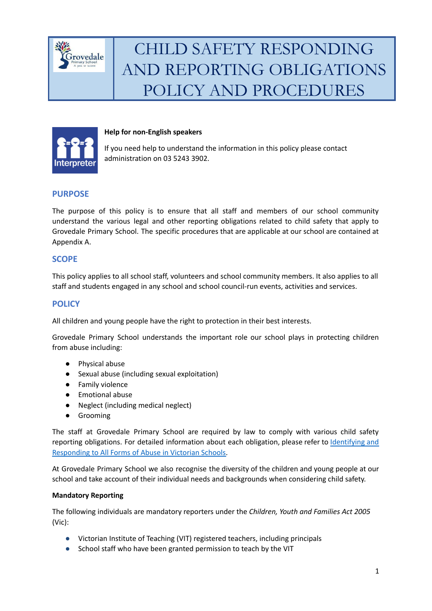



#### **Help for non-English speakers**

If you need help to understand the information in this policy please contact administration on 03 5243 3902.

### **PURPOSE**

The purpose of this policy is to ensure that all staff and members of our school community understand the various legal and other reporting obligations related to child safety that apply to Grovedale Primary School. The specific procedures that are applicable at our school are contained at Appendix A.

### **SCOPE**

This policy applies to all school staff, volunteers and school community members. It also applies to all staff and students engaged in any school and school council-run events, activities and services.

### **POLICY**

All children and young people have the right to protection in their best interests.

Grovedale Primary School understands the important role our school plays in protecting children from abuse including:

- Physical abuse
- Sexual abuse (including sexual exploitation)
- Family violence
- Emotional abuse
- Neglect (including medical neglect)
- Grooming

The staff at Grovedale Primary School are required by law to comply with various child safety reporting obligations. For detailed information about each obligation, please refer to [Identifying](https://www.education.vic.gov.au/Documents/about/programs/health/protect/ChildSafeStandard5_SchoolsGuide.pdf) and [Responding](https://www.education.vic.gov.au/Documents/about/programs/health/protect/ChildSafeStandard5_SchoolsGuide.pdf) to All Forms of Abuse in Victorian Schools.

At Grovedale Primary School we also recognise the diversity of the children and young people at our school and take account of their individual needs and backgrounds when considering child safety.

#### **Mandatory Reporting**

The following individuals are mandatory reporters under the *Children, Youth and Families Act 2005* (Vic):

- Victorian Institute of Teaching (VIT) registered teachers, including principals
- School staff who have been granted permission to teach by the VIT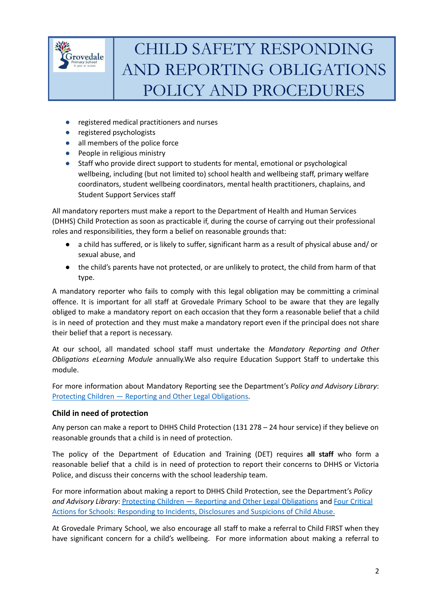

- registered medical practitioners and nurses
- registered psychologists
- all members of the police force
- People in religious ministry
- Staff who provide direct support to students for mental, emotional or psychological wellbeing, including (but not limited to) school health and wellbeing staff, primary welfare coordinators, student wellbeing coordinators, mental health practitioners, chaplains, and Student Support Services staff

All mandatory reporters must make a report to the Department of Health and Human Services (DHHS) Child Protection as soon as practicable if, during the course of carrying out their professional roles and responsibilities, they form a belief on reasonable grounds that:

- a child has suffered, or is likely to suffer, significant harm as a result of physical abuse and/ or sexual abuse, and
- the child's parents have not protected, or are unlikely to protect, the child from harm of that type.

A mandatory reporter who fails to comply with this legal obligation may be committing a criminal offence. It is important for all staff at Grovedale Primary School to be aware that they are legally obliged to make a mandatory report on each occasion that they form a reasonable belief that a child is in need of protection and they must make a mandatory report even if the principal does not share their belief that a report is necessary.

At our school, all mandated school staff must undertake the *Mandatory Reporting and Other Obligations eLearning Module* annually.We also require Education Support Staff to undertake this module.

For more information about Mandatory Reporting see the Department's *Policy and Advisory Library*: Protecting Children — Reporting and Other Legal [Obligations.](https://www2.education.vic.gov.au/pal/protecting-children/policy)

### **Child in need of protection**

Any person can make a report to DHHS Child Protection (131 278 – 24 hour service) if they believe on reasonable grounds that a child is in need of protection.

The policy of the Department of Education and Training (DET) requires **all staff** who form a reasonable belief that a child is in need of protection to report their concerns to DHHS or Victoria Police, and discuss their concerns with the school leadership team.

For more information about making a report to DHHS Child Protection, see the Department's *Policy and Advisory Library*: Protecting Children — Reporting and Other Legal [Obligations](https://www2.education.vic.gov.au/pal/protecting-children/policy) and Four [Critical](https://www.education.vic.gov.au/Documents/about/programs/health/protect/FourCriticalActions_ChildAbuse.pdf) Actions for Schools: [Responding](https://www.education.vic.gov.au/Documents/about/programs/health/protect/FourCriticalActions_ChildAbuse.pdf) to Incidents, Disclosures and Suspicions of Child Abuse.

At Grovedale Primary School, we also encourage all staff to make a referral to Child FIRST when they have significant concern for a child's wellbeing. For more information about making a referral to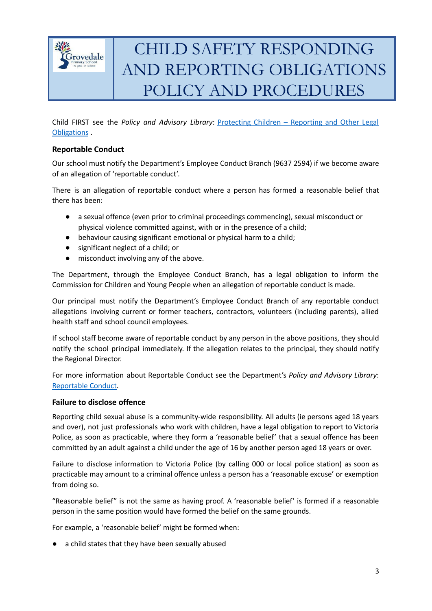

Child FIRST see the *Policy and Advisory Library*: [Protecting](https://www2.education.vic.gov.au/pal/protecting-children/policy) Children – Reporting and Other Legal [Obligations](https://www2.education.vic.gov.au/pal/protecting-children/policy) .

#### **Reportable Conduct**

Our school must notify the Department's Employee Conduct Branch (9637 2594) if we become aware of an allegation of 'reportable conduct'.

There is an allegation of reportable conduct where a person has formed a reasonable belief that there has been:

- a sexual offence (even prior to criminal proceedings commencing), sexual misconduct or physical violence committed against, with or in the presence of a child;
- behaviour causing significant emotional or physical harm to a child;
- significant neglect of a child; or
- misconduct involving any of the above.

The Department, through the Employee Conduct Branch, has a legal obligation to inform the Commission for Children and Young People when an allegation of reportable conduct is made.

Our principal must notify the Department's Employee Conduct Branch of any reportable conduct allegations involving current or former teachers, contractors, volunteers (including parents), allied health staff and school council employees.

If school staff become aware of reportable conduct by any person in the above positions, they should notify the school principal immediately. If the allegation relates to the principal, they should notify the Regional Director.

For more information about Reportable Conduct see the Department's *Policy and Advisory Library*: [Reportable](https://www2.education.vic.gov.au/pal/reportable-conduct-scheme/policy) Conduct.

#### **Failure to disclose offence**

Reporting child sexual abuse is a community-wide responsibility. All adults (ie persons aged 18 years and over), not just professionals who work with children, have a legal obligation to report to Victoria Police, as soon as practicable, where they form a 'reasonable belief' that a sexual offence has been committed by an adult against a child under the age of 16 by another person aged 18 years or over.

Failure to disclose information to Victoria Police (by calling 000 or local police station) as soon as practicable may amount to a criminal offence unless a person has a 'reasonable excuse' or exemption from doing so.

"Reasonable belief" is not the same as having proof. A 'reasonable belief' is formed if a reasonable person in the same position would have formed the belief on the same grounds.

For example, a 'reasonable belief' might be formed when:

a child states that they have been sexually abused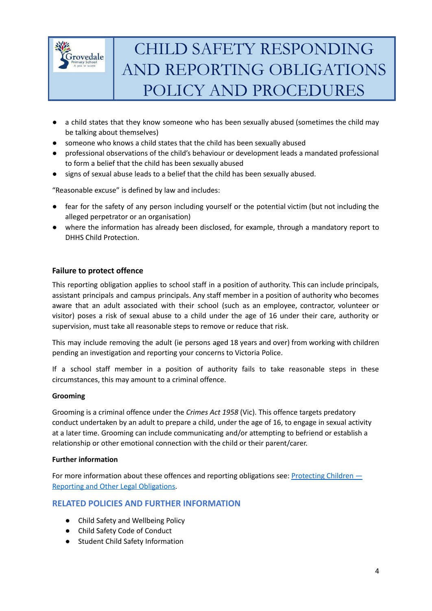

- a child states that they know someone who has been sexually abused (sometimes the child may be talking about themselves)
- someone who knows a child states that the child has been sexually abused
- professional observations of the child's behaviour or development leads a mandated professional to form a belief that the child has been sexually abused
- signs of sexual abuse leads to a belief that the child has been sexually abused.

"Reasonable excuse" is defined by law and includes:

- fear for the safety of any person including yourself or the potential victim (but not including the alleged perpetrator or an organisation)
- where the information has already been disclosed, for example, through a mandatory report to DHHS Child Protection.

### **Failure to protect offence**

This reporting obligation applies to school staff in a position of authority. This can include principals, assistant principals and campus principals. Any staff member in a position of authority who becomes aware that an adult associated with their school (such as an employee, contractor, volunteer or visitor) poses a risk of sexual abuse to a child under the age of 16 under their care, authority or supervision, must take all reasonable steps to remove or reduce that risk.

This may include removing the adult (ie persons aged 18 years and over) from working with children pending an investigation and reporting your concerns to Victoria Police.

If a school staff member in a position of authority fails to take reasonable steps in these circumstances, this may amount to a criminal offence.

#### **Grooming**

Grooming is a criminal offence under the *Crimes Act 1958* (Vic). This offence targets predatory conduct undertaken by an adult to prepare a child, under the age of 16, to engage in sexual activity at a later time. Grooming can include communicating and/or attempting to befriend or establish a relationship or other emotional connection with the child or their parent/carer.

#### **Further information**

For more information about these offences and reporting obligations see: [Protecting](https://www2.education.vic.gov.au/pal/protecting-children/policy) Children  $-$ Reporting and Other Legal [Obligations.](https://www2.education.vic.gov.au/pal/protecting-children/policy)

### **RELATED POLICIES AND FURTHER INFORMATION**

- Child Safety and Wellbeing Policy
- Child Safety Code of Conduct
- Student Child Safety Information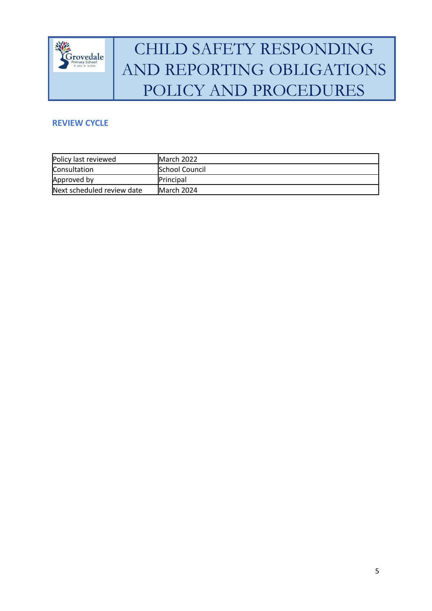

### **REVIEW CYCLE**

| Policy last reviewed       | IMarch 2022           |
|----------------------------|-----------------------|
| Consultation               | <b>School Council</b> |
| Approved by                | <b>Principal</b>      |
| Next scheduled review date | March 2024            |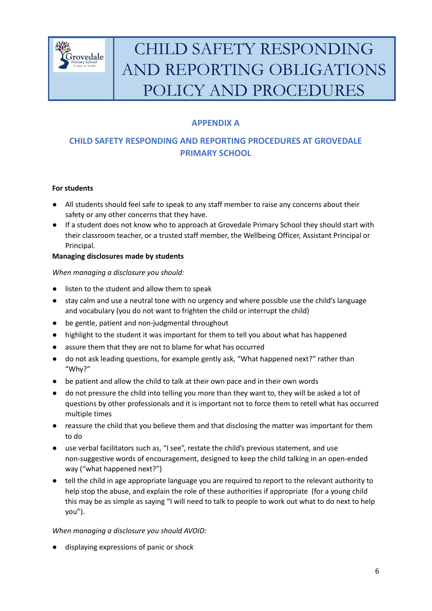

## **APPENDIX A**

### **CHILD SAFETY RESPONDING AND REPORTING PROCEDURES AT GROVEDALE PRIMARY SCHOOL**

### **For students**

- All students should feel safe to speak to any staff member to raise any concerns about their safety or any other concerns that they have.
- If a student does not know who to approach at Grovedale Primary School they should start with their classroom teacher, or a trusted staff member, the Wellbeing Officer, Assistant Principal or Principal.

### **Managing disclosures made by students**

### *When managing a disclosure you should:*

- listen to the student and allow them to speak
- stay calm and use a neutral tone with no urgency and where possible use the child's language and vocabulary (you do not want to frighten the child or interrupt the child)
- be gentle, patient and non-judgmental throughout
- highlight to the student it was important for them to tell you about what has happened
- assure them that they are not to blame for what has occurred
- do not ask leading questions, for example gently ask, "What happened next?" rather than "Why?"
- be patient and allow the child to talk at their own pace and in their own words
- do not pressure the child into telling you more than they want to, they will be asked a lot of questions by other professionals and it is important not to force them to retell what has occurred multiple times
- reassure the child that you believe them and that disclosing the matter was important for them to do
- use verbal facilitators such as, "I see", restate the child's previous statement, and use non-suggestive words of encouragement, designed to keep the child talking in an open-ended way ("what happened next?")
- tell the child in age appropriate language you are required to report to the relevant authority to help stop the abuse, and explain the role of these authorities if appropriate (for a young child this may be as simple as saying "I will need to talk to people to work out what to do next to help you").

### *When managing a disclosure you should AVOID:*

displaying expressions of panic or shock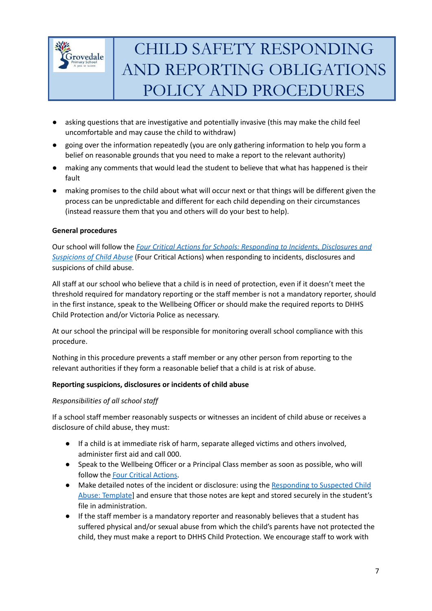

- asking questions that are investigative and potentially invasive (this may make the child feel uncomfortable and may cause the child to withdraw)
- going over the information repeatedly (you are only gathering information to help you form a belief on reasonable grounds that you need to make a report to the relevant authority)
- making any comments that would lead the student to believe that what has happened is their fault
- making promises to the child about what will occur next or that things will be different given the process can be unpredictable and different for each child depending on their circumstances (instead reassure them that you and others will do your best to help).

### **General procedures**

Our school will follow the *Four Critical Actions for Schools: [Responding](https://www.education.vic.gov.au/Documents/about/programs/health/protect/FourCriticalActions_ChildAbuse.pdf) to Incidents, Disclosures and [Suspicions](https://www.education.vic.gov.au/Documents/about/programs/health/protect/FourCriticalActions_ChildAbuse.pdf) of Child Abuse* (Four Critical Actions) when responding to incidents, disclosures and suspicions of child abuse.

All staff at our school who believe that a child is in need of protection, even if it doesn't meet the threshold required for mandatory reporting or the staff member is not a mandatory reporter, should in the first instance, speak to the Wellbeing Officer or should make the required reports to DHHS Child Protection and/or Victoria Police as necessary.

At our school the principal will be responsible for monitoring overall school compliance with this procedure.

Nothing in this procedure prevents a staff member or any other person from reporting to the relevant authorities if they form a reasonable belief that a child is at risk of abuse.

#### **Reporting suspicions, disclosures or incidents of child abuse**

#### *Responsibilities of all school staff*

If a school staff member reasonably suspects or witnesses an incident of child abuse or receives a disclosure of child abuse, they must:

- If a child is at immediate risk of harm, separate alleged victims and others involved, administer first aid and call 000.
- Speak to the Wellbeing Officer or a Principal Class member as soon as possible, who will follow the Four Critical [Actions.](https://www.education.vic.gov.au/Documents/about/programs/health/protect/FourCriticalActions_ChildAbuse.pdf)
- Make detailed notes of the incident or disclosure: using the [Responding](https://www.education.vic.gov.au/Documents/about/programs/health/protect/PROTECT_Schoolstemplate.pdf) to Suspected Child Abuse: [Template](https://www.education.vic.gov.au/Documents/about/programs/health/protect/PROTECT_Schoolstemplate.pdf)] and ensure that those notes are kept and stored securely in the student's file in administration.
- If the staff member is a mandatory reporter and reasonably believes that a student has suffered physical and/or sexual abuse from which the child's parents have not protected the child, they must make a report to DHHS Child Protection. We encourage staff to work with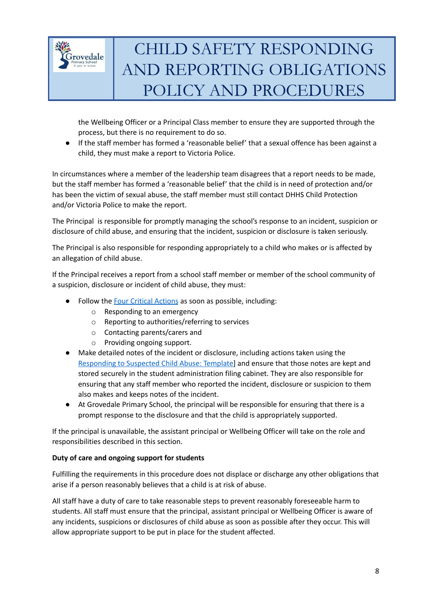

the Wellbeing Officer or a Principal Class member to ensure they are supported through the process, but there is no requirement to do so.

● If the staff member has formed a 'reasonable belief' that a sexual offence has been against a child, they must make a report to Victoria Police.

In circumstances where a member of the leadership team disagrees that a report needs to be made, but the staff member has formed a 'reasonable belief' that the child is in need of protection and/or has been the victim of sexual abuse, the staff member must still contact DHHS Child Protection and/or Victoria Police to make the report.

The Principal is responsible for promptly managing the school's response to an incident, suspicion or disclosure of child abuse, and ensuring that the incident, suspicion or disclosure is taken seriously.

The Principal is also responsible for responding appropriately to a child who makes or is affected by an allegation of child abuse.

If the Principal receives a report from a school staff member or member of the school community of a suspicion, disclosure or incident of child abuse, they must:

- Follow the Four Critical [Actions](https://www.education.vic.gov.au/Documents/about/programs/health/protect/FourCriticalActions_ChildAbuse.pdf) as soon as possible, including:
	- o Responding to an emergency
	- o Reporting to authorities/referring to services
	- o Contacting parents/carers and
	- o Providing ongoing support.
- Make detailed notes of the incident or disclosure, including actions taken using the [Responding](https://www.education.vic.gov.au/Documents/about/programs/health/protect/PROTECT_Schoolstemplate.pdf) to Suspected Child Abuse: Template] and ensure that those notes are kept and stored securely in the student administration filing cabinet. They are also responsible for ensuring that any staff member who reported the incident, disclosure or suspicion to them also makes and keeps notes of the incident.
- At Grovedale Primary School, the principal will be responsible for ensuring that there is a prompt response to the disclosure and that the child is appropriately supported.

If the principal is unavailable, the assistant principal or Wellbeing Officer will take on the role and responsibilities described in this section.

### **Duty of care and ongoing support for students**

Fulfilling the requirements in this procedure does not displace or discharge any other obligations that arise if a person reasonably believes that a child is at risk of abuse.

All staff have a duty of care to take reasonable steps to prevent reasonably foreseeable harm to students. All staff must ensure that the principal, assistant principal or Wellbeing Officer is aware of any incidents, suspicions or disclosures of child abuse as soon as possible after they occur. This will allow appropriate support to be put in place for the student affected.